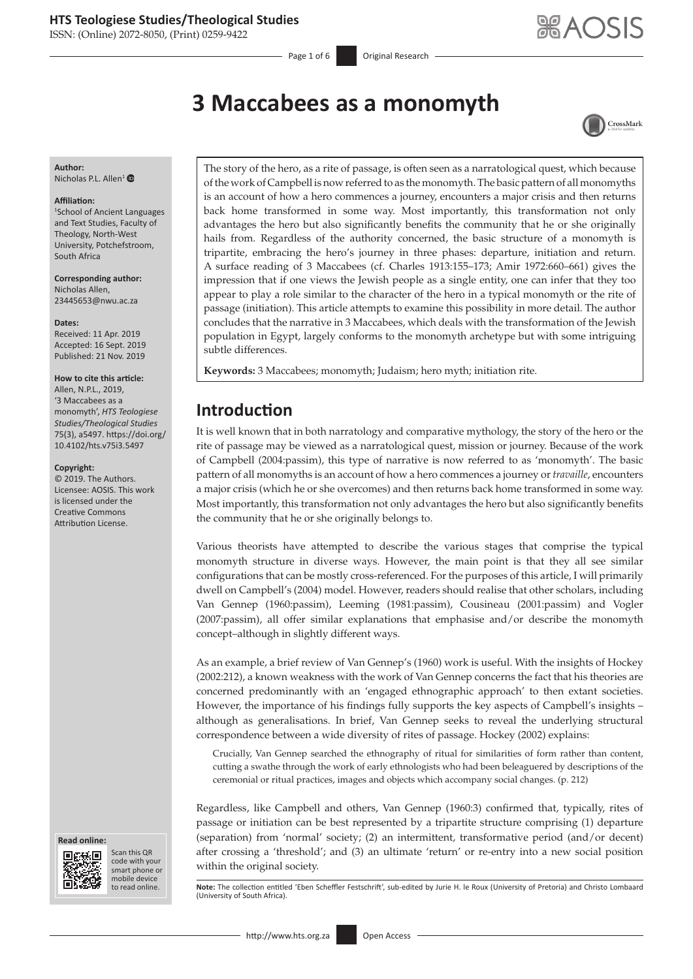ISSN: (Online) 2072-8050, (Print) 0259-9422

Page 1 of 6 **Original Research** 

# **3 Maccabees as a monomyth**



#### **Author:** Nicholas P.L. Allen<sup>[1](https://orcid.org/0000-0002-6843-1865)</sup> $\bullet$

#### **Affiliation:**

1 School of Ancient Languages and Text Studies, Faculty of Theology, North-West University, Potchefstroom, South Africa

**Corresponding author:** Nicholas Allen, [23445653@nwu.ac.za](mailto:23445653@nwu.ac.za)

#### **Dates:**

Received: 11 Apr. 2019 Accepted: 16 Sept. 2019 Published: 21 Nov. 2019

#### **How to cite this article:**

Allen, N.P.L., 2019, '3 Maccabees as a monomyth', *HTS Teologiese Studies/Theological Studies* 75(3), a5497. [https://doi.org/](https://doi.org/​10.4102/hts.v75i3.5497) [10.4102/hts.v75i3.5497](https://doi.org/​10.4102/hts.v75i3.5497)

#### **Copyright:**

© 2019. The Authors. Licensee: AOSIS. This work is licensed under the Creative Commons Attribution License.

#### **Read online:**



Scan this QR code with your smart phone or mobile device<br>to read online.

The story of the hero, as a rite of passage, is often seen as a narratological quest, which because of the work of Campbell is now referred to as the monomyth. The basic pattern of all monomyths is an account of how a hero commences a journey, encounters a major crisis and then returns back home transformed in some way. Most importantly, this transformation not only advantages the hero but also significantly benefits the community that he or she originally hails from. Regardless of the authority concerned, the basic structure of a monomyth is tripartite, embracing the hero's journey in three phases: departure, initiation and return. A surface reading of 3 Maccabees (cf. Charles 1913:155–173; Amir 1972:660–661) gives the impression that if one views the Jewish people as a single entity, one can infer that they too appear to play a role similar to the character of the hero in a typical monomyth or the rite of passage (initiation). This article attempts to examine this possibility in more detail. The author concludes that the narrative in 3 Maccabees, which deals with the transformation of the Jewish population in Egypt, largely conforms to the monomyth archetype but with some intriguing subtle differences.

**Keywords:** 3 Maccabees; monomyth; Judaism; hero myth; initiation rite.

### **Introduction**

It is well known that in both narratology and comparative mythology, the story of the hero or the rite of passage may be viewed as a narratological quest, mission or journey. Because of the work of Campbell (2004:passim), this type of narrative is now referred to as 'monomyth'. The basic pattern of all monomyths is an account of how a hero commences a journey or *travaille*, encounters a major crisis (which he or she overcomes) and then returns back home transformed in some way. Most importantly, this transformation not only advantages the hero but also significantly benefits the community that he or she originally belongs to.

Various theorists have attempted to describe the various stages that comprise the typical monomyth structure in diverse ways. However, the main point is that they all see similar configurations that can be mostly cross-referenced. For the purposes of this article, I will primarily dwell on Campbell's (2004) model. However, readers should realise that other scholars, including Van Gennep (1960:passim), Leeming (1981:passim), Cousineau (2001:passim) and Vogler (2007:passim), all offer similar explanations that emphasise and/or describe the monomyth concept–although in slightly different ways.

As an example, a brief review of Van Gennep's (1960) work is useful. With the insights of Hockey (2002:212), a known weakness with the work of Van Gennep concerns the fact that his theories are concerned predominantly with an 'engaged ethnographic approach' to then extant societies. However, the importance of his findings fully supports the key aspects of Campbell's insights – although as generalisations. In brief, Van Gennep seeks to reveal the underlying structural correspondence between a wide diversity of rites of passage. Hockey (2002) explains:

Crucially, Van Gennep searched the ethnography of ritual for similarities of form rather than content, cutting a swathe through the work of early ethnologists who had been beleaguered by descriptions of the ceremonial or ritual practices, images and objects which accompany social changes. (p. 212)

Regardless, like Campbell and others, Van Gennep (1960:3) confirmed that, typically, rites of passage or initiation can be best represented by a tripartite structure comprising (1) departure (separation) from 'normal' society; (2) an intermittent, transformative period (and/or decent) after crossing a 'threshold'; and (3) an ultimate 'return' or re-entry into a new social position within the original society.

Note: The collection entitled 'Eben Scheffler Festschrift', sub-edited by Jurie H. le Roux (University of Pretoria) and Christo Lombaard (University of South Africa).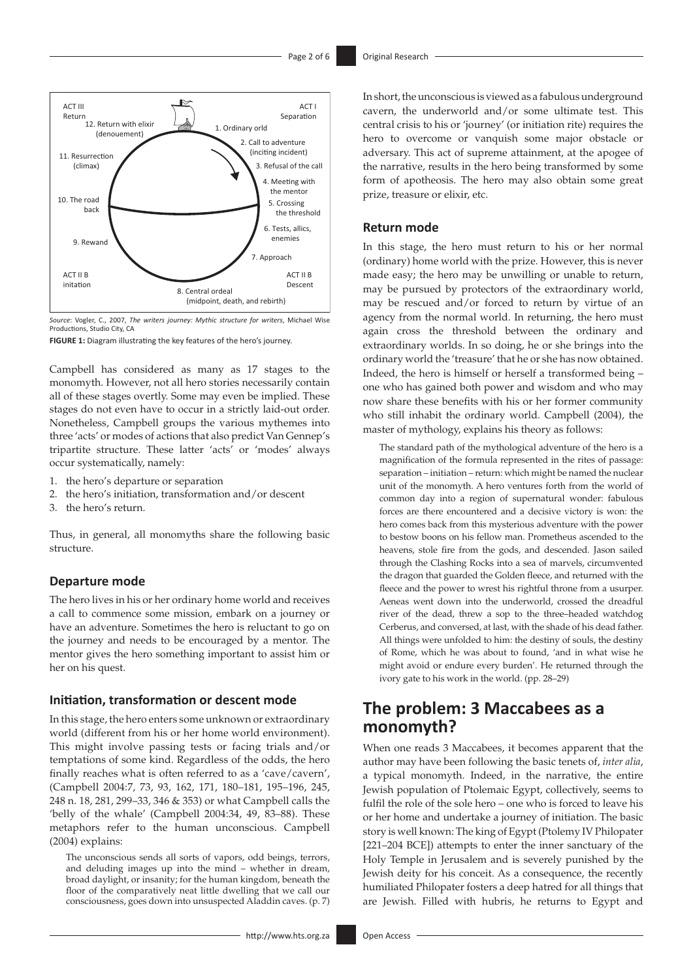

*Source*: Vogler, C., 2007, *The writers journey: Mythic structure for writers*, Michael Wise Productions, Studio City, CA

**FIGURE 1:** Diagram illustrating the key features of the hero's journey.

Campbell has considered as many as 17 stages to the monomyth. However, not all hero stories necessarily contain all of these stages overtly. Some may even be implied. These stages do not even have to occur in a strictly laid-out order. Nonetheless, Campbell groups the various mythemes into three 'acts' or modes of actions that also predict Van Gennep's tripartite structure. These latter 'acts' or 'modes' always occur systematically, namely:

- 1. the hero's departure or separation
- 2. the hero's initiation, transformation and/or descent
- 3. the hero's return.

Thus, in general, all monomyths share the following basic structure.

#### **Departure mode**

The hero lives in his or her ordinary home world and receives a call to commence some mission, embark on a journey or have an adventure. Sometimes the hero is reluctant to go on the journey and needs to be encouraged by a mentor. The mentor gives the hero something important to assist him or her on his quest.

#### **Initiation, transformation or descent mode**

In this stage, the hero enters some unknown or extraordinary world (different from his or her home world environment). This might involve passing tests or facing trials and/or temptations of some kind. Regardless of the odds, the hero finally reaches what is often referred to as a 'cave/cavern', (Campbell 2004:7, 73, 93, 162, 171, 180–181, 195–196, 245, 248 n. 18, 281, 299–33, 346 & 353) or what Campbell calls the 'belly of the whale' (Campbell 2004:34, 49, 83–88). These metaphors refer to the human unconscious. Campbell (2004) explains:

The unconscious sends all sorts of vapors, odd beings, terrors, and deluding images up into the mind – whether in dream, broad daylight, or insanity; for the human kingdom, beneath the floor of the comparatively neat little dwelling that we call our consciousness, goes down into unsuspected Aladdin caves. (p. 7)

In short, the unconscious is viewed as a fabulous underground cavern, the underworld and/or some ultimate test. This central crisis to his or 'journey' (or initiation rite) requires the hero to overcome or vanquish some major obstacle or adversary. This act of supreme attainment, at the apogee of the narrative, results in the hero being transformed by some form of apotheosis. The hero may also obtain some great prize, treasure or elixir, etc.

#### **Return mode**

In this stage, the hero must return to his or her normal (ordinary) home world with the prize. However, this is never made easy; the hero may be unwilling or unable to return, may be pursued by protectors of the extraordinary world, may be rescued and/or forced to return by virtue of an agency from the normal world. In returning, the hero must again cross the threshold between the ordinary and extraordinary worlds. In so doing, he or she brings into the ordinary world the 'treasure' that he or she has now obtained. Indeed, the hero is himself or herself a transformed being – one who has gained both power and wisdom and who may now share these benefits with his or her former community who still inhabit the ordinary world. Campbell (2004), the master of mythology, explains his theory as follows:

The standard path of the mythological adventure of the hero is a magnification of the formula represented in the rites of passage: separation – initiation – return: which might be named the nuclear unit of the monomyth. A hero ventures forth from the world of common day into a region of supernatural wonder: fabulous forces are there encountered and a decisive victory is won: the hero comes back from this mysterious adventure with the power to bestow boons on his fellow man. Prometheus ascended to the heavens, stole fire from the gods, and descended. Jason sailed through the Clashing Rocks into a sea of marvels, circumvented the dragon that guarded the Golden fleece, and returned with the fleece and the power to wrest his rightful throne from a usurper. Aeneas went down into the underworld, crossed the dreadful river of the dead, threw a sop to the three–headed watchdog Cerberus, and conversed, at last, with the shade of his dead father. All things were unfolded to him: the destiny of souls, the destiny of Rome, which he was about to found, 'and in what wise he might avoid or endure every burden'. He returned through the ivory gate to his work in the world. (pp. 28–29)

### **The problem: 3 Maccabees as a monomyth?**

When one reads 3 Maccabees, it becomes apparent that the author may have been following the basic tenets of, *inter alia*, a typical monomyth. Indeed, in the narrative, the entire Jewish population of Ptolemaic Egypt, collectively, seems to fulfil the role of the sole hero – one who is forced to leave his or her home and undertake a journey of initiation. The basic story is well known: The king of Egypt (Ptolemy IV Philopater [221–204 BCE]) attempts to enter the inner sanctuary of the Holy Temple in Jerusalem and is severely punished by the Jewish deity for his conceit. As a consequence, the recently humiliated Philopater fosters a deep hatred for all things that are Jewish. Filled with hubris, he returns to Egypt and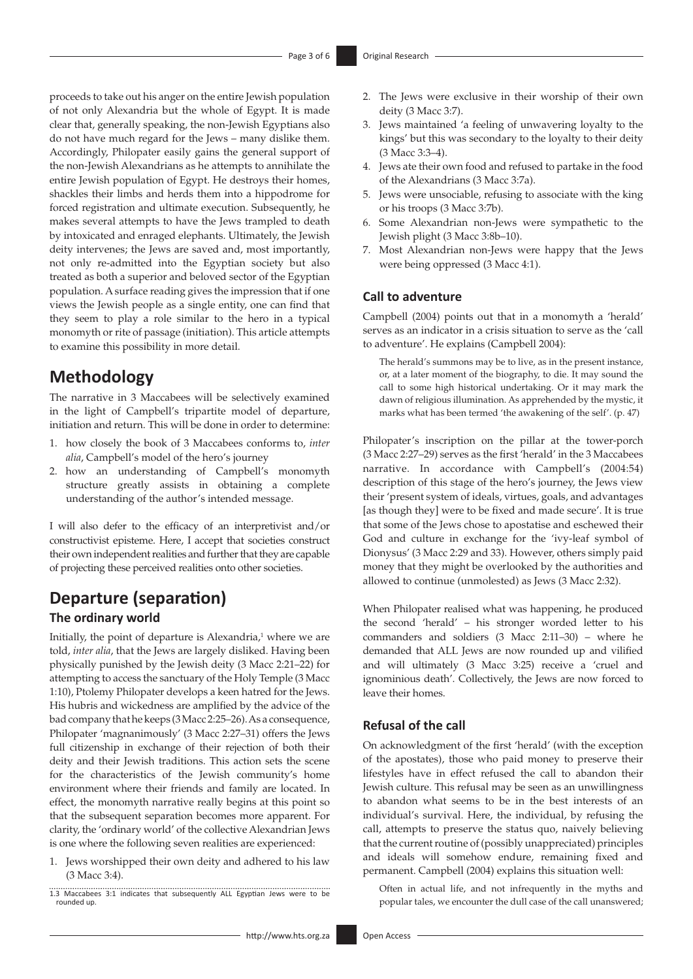proceeds to take out his anger on the entire Jewish population of not only Alexandria but the whole of Egypt. It is made clear that, generally speaking, the non-Jewish Egyptians also do not have much regard for the Jews – many dislike them. Accordingly, Philopater easily gains the general support of the non-Jewish Alexandrians as he attempts to annihilate the entire Jewish population of Egypt. He destroys their homes, shackles their limbs and herds them into a hippodrome for forced registration and ultimate execution. Subsequently, he makes several attempts to have the Jews trampled to death by intoxicated and enraged elephants. Ultimately, the Jewish deity intervenes; the Jews are saved and, most importantly, not only re-admitted into the Egyptian society but also treated as both a superior and beloved sector of the Egyptian population. A surface reading gives the impression that if one views the Jewish people as a single entity, one can find that they seem to play a role similar to the hero in a typical monomyth or rite of passage (initiation). This article attempts to examine this possibility in more detail.

## **Methodology**

The narrative in 3 Maccabees will be selectively examined in the light of Campbell's tripartite model of departure, initiation and return. This will be done in order to determine:

- 1. how closely the book of 3 Maccabees conforms to, *inter alia*, Campbell's model of the hero's journey
- 2. how an understanding of Campbell's monomyth structure greatly assists in obtaining a complete understanding of the author's intended message.

I will also defer to the efficacy of an interpretivist and/or constructivist episteme. Here, I accept that societies construct their own independent realities and further that they are capable of projecting these perceived realities onto other societies.

## **Departure (separation)**

#### **The ordinary world**

Initially, the point of departure is Alexandria, $1$  where we are told, *inter alia*, that the Jews are largely disliked. Having been physically punished by the Jewish deity (3 Macc 2:21–22) for attempting to access the sanctuary of the Holy Temple (3 Macc 1:10), Ptolemy Philopater develops a keen hatred for the Jews. His hubris and wickedness are amplified by the advice of the bad company that he keeps (3 Macc 2:25–26). As a consequence, Philopater 'magnanimously' (3 Macc 2:27–31) offers the Jews full citizenship in exchange of their rejection of both their deity and their Jewish traditions. This action sets the scene for the characteristics of the Jewish community's home environment where their friends and family are located. In effect, the monomyth narrative really begins at this point so that the subsequent separation becomes more apparent. For clarity, the 'ordinary world' of the collective Alexandrian Jews is one where the following seven realities are experienced:

- 1. Jews worshipped their own deity and adhered to his law (3 Macc 3:4).
- 1.3 Maccabees 3:1 indicates that subsequently ALL Egyptian Jews were to be rounded up.
	- <http://www.hts.org.za> Open Access
- 2. The Jews were exclusive in their worship of their own deity (3 Macc 3:7).
- 3. Jews maintained 'a feeling of unwavering loyalty to the kings' but this was secondary to the loyalty to their deity (3 Macc 3:3–4).
- 4. Jews ate their own food and refused to partake in the food of the Alexandrians (3 Macc 3:7a).
- 5. Jews were unsociable, refusing to associate with the king or his troops (3 Macc 3:7b).
- 6. Some Alexandrian non-Jews were sympathetic to the Jewish plight (3 Macc 3:8b–10).
- 7. Most Alexandrian non-Jews were happy that the Jews were being oppressed (3 Macc 4:1).

#### **Call to adventure**

Campbell (2004) points out that in a monomyth a 'herald' serves as an indicator in a crisis situation to serve as the 'call to adventure'. He explains (Campbell 2004):

The herald's summons may be to live, as in the present instance, or, at a later moment of the biography, to die. It may sound the call to some high historical undertaking. Or it may mark the dawn of religious illumination. As apprehended by the mystic, it marks what has been termed 'the awakening of the self'. (p. 47)

Philopater's inscription on the pillar at the tower-porch (3 Macc 2:27–29) serves as the first 'herald' in the 3 Maccabees narrative. In accordance with Campbell's (2004:54) description of this stage of the hero's journey, the Jews view their 'present system of ideals, virtues, goals, and advantages [as though they] were to be fixed and made secure'. It is true that some of the Jews chose to apostatise and eschewed their God and culture in exchange for the 'ivy-leaf symbol of Dionysus' (3 Macc 2:29 and 33). However, others simply paid money that they might be overlooked by the authorities and allowed to continue (unmolested) as Jews (3 Macc 2:32).

When Philopater realised what was happening, he produced the second 'herald' – his stronger worded letter to his commanders and soldiers (3 Macc 2:11–30) – where he demanded that ALL Jews are now rounded up and vilified and will ultimately (3 Macc 3:25) receive a 'cruel and ignominious death'. Collectively, the Jews are now forced to leave their homes.

#### **Refusal of the call**

On acknowledgment of the first 'herald' (with the exception of the apostates), those who paid money to preserve their lifestyles have in effect refused the call to abandon their Jewish culture. This refusal may be seen as an unwillingness to abandon what seems to be in the best interests of an individual's survival. Here, the individual, by refusing the call, attempts to preserve the status quo, naively believing that the current routine of (possibly unappreciated) principles and ideals will somehow endure, remaining fixed and permanent. Campbell (2004) explains this situation well:

Often in actual life, and not infrequently in the myths and popular tales, we encounter the dull case of the call unanswered;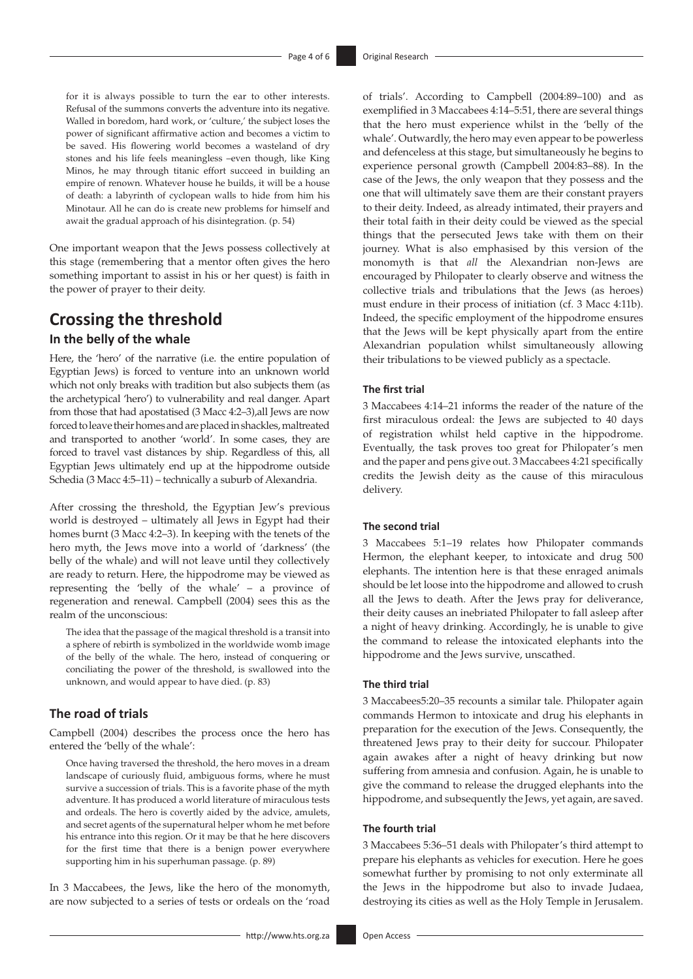for it is always possible to turn the ear to other interests. Refusal of the summons converts the adventure into its negative. Walled in boredom, hard work, or 'culture,' the subject loses the power of significant affirmative action and becomes a victim to be saved. His flowering world becomes a wasteland of dry stones and his life feels meaningless –even though, like King Minos, he may through titanic effort succeed in building an empire of renown. Whatever house he builds, it will be a house of death: a labyrinth of cyclopean walls to hide from him his Minotaur. All he can do is create new problems for himself and await the gradual approach of his disintegration. (p. 54)

One important weapon that the Jews possess collectively at this stage (remembering that a mentor often gives the hero something important to assist in his or her quest) is faith in the power of prayer to their deity.

## **Crossing the threshold**

#### **In the belly of the whale**

Here, the 'hero' of the narrative (i.e. the entire population of Egyptian Jews) is forced to venture into an unknown world which not only breaks with tradition but also subjects them (as the archetypical 'hero') to vulnerability and real danger. Apart from those that had apostatised (3 Macc 4:2–3),all Jews are now forced to leave their homes and are placed in shackles, maltreated and transported to another 'world'. In some cases, they are forced to travel vast distances by ship. Regardless of this, all Egyptian Jews ultimately end up at the hippodrome outside Schedia (3 Macc 4:5–11) – technically a suburb of Alexandria.

After crossing the threshold, the Egyptian Jew's previous world is destroyed – ultimately all Jews in Egypt had their homes burnt (3 Macc 4:2–3). In keeping with the tenets of the hero myth, the Jews move into a world of 'darkness' (the belly of the whale) and will not leave until they collectively are ready to return. Here, the hippodrome may be viewed as representing the 'belly of the whale' – a province of regeneration and renewal. Campbell (2004) sees this as the realm of the unconscious:

The idea that the passage of the magical threshold is a transit into a sphere of rebirth is symbolized in the worldwide womb image of the belly of the whale. The hero, instead of conquering or conciliating the power of the threshold, is swallowed into the unknown, and would appear to have died. (p. 83)

#### **The road of trials**

Campbell (2004) describes the process once the hero has entered the 'belly of the whale':

Once having traversed the threshold, the hero moves in a dream landscape of curiously fluid, ambiguous forms, where he must survive a succession of trials. This is a favorite phase of the myth adventure. It has produced a world literature of miraculous tests and ordeals. The hero is covertly aided by the advice, amulets, and secret agents of the supernatural helper whom he met before his entrance into this region. Or it may be that he here discovers for the first time that there is a benign power everywhere supporting him in his superhuman passage. (p. 89)

In 3 Maccabees, the Jews, like the hero of the monomyth, are now subjected to a series of tests or ordeals on the 'road

of trials'. According to Campbell (2004:89–100) and as exemplified in 3 Maccabees 4:14–5:51, there are several things that the hero must experience whilst in the 'belly of the whale'. Outwardly, the hero may even appear to be powerless and defenceless at this stage, but simultaneously he begins to experience personal growth (Campbell 2004:83–88). In the case of the Jews, the only weapon that they possess and the one that will ultimately save them are their constant prayers to their deity. Indeed, as already intimated, their prayers and their total faith in their deity could be viewed as the special things that the persecuted Jews take with them on their journey. What is also emphasised by this version of the monomyth is that *all* the Alexandrian non-Jews are encouraged by Philopater to clearly observe and witness the collective trials and tribulations that the Jews (as heroes) must endure in their process of initiation (cf. 3 Macc 4:11b). Indeed, the specific employment of the hippodrome ensures that the Jews will be kept physically apart from the entire Alexandrian population whilst simultaneously allowing their tribulations to be viewed publicly as a spectacle.

#### **The first trial**

3 Maccabees 4:14–21 informs the reader of the nature of the first miraculous ordeal: the Jews are subjected to 40 days of registration whilst held captive in the hippodrome. Eventually, the task proves too great for Philopater's men and the paper and pens give out. 3 Maccabees 4:21 specifically credits the Jewish deity as the cause of this miraculous delivery.

#### **The second trial**

3 Maccabees 5:1–19 relates how Philopater commands Hermon, the elephant keeper, to intoxicate and drug 500 elephants. The intention here is that these enraged animals should be let loose into the hippodrome and allowed to crush all the Jews to death. After the Jews pray for deliverance, their deity causes an inebriated Philopater to fall asleep after a night of heavy drinking. Accordingly, he is unable to give the command to release the intoxicated elephants into the hippodrome and the Jews survive, unscathed.

#### **The third trial**

3 Maccabees5:20–35 recounts a similar tale. Philopater again commands Hermon to intoxicate and drug his elephants in preparation for the execution of the Jews. Consequently, the threatened Jews pray to their deity for succour. Philopater again awakes after a night of heavy drinking but now suffering from amnesia and confusion. Again, he is unable to give the command to release the drugged elephants into the hippodrome, and subsequently the Jews, yet again, are saved.

#### **The fourth trial**

3 Maccabees 5:36–51 deals with Philopater's third attempt to prepare his elephants as vehicles for execution. Here he goes somewhat further by promising to not only exterminate all the Jews in the hippodrome but also to invade Judaea, destroying its cities as well as the Holy Temple in Jerusalem.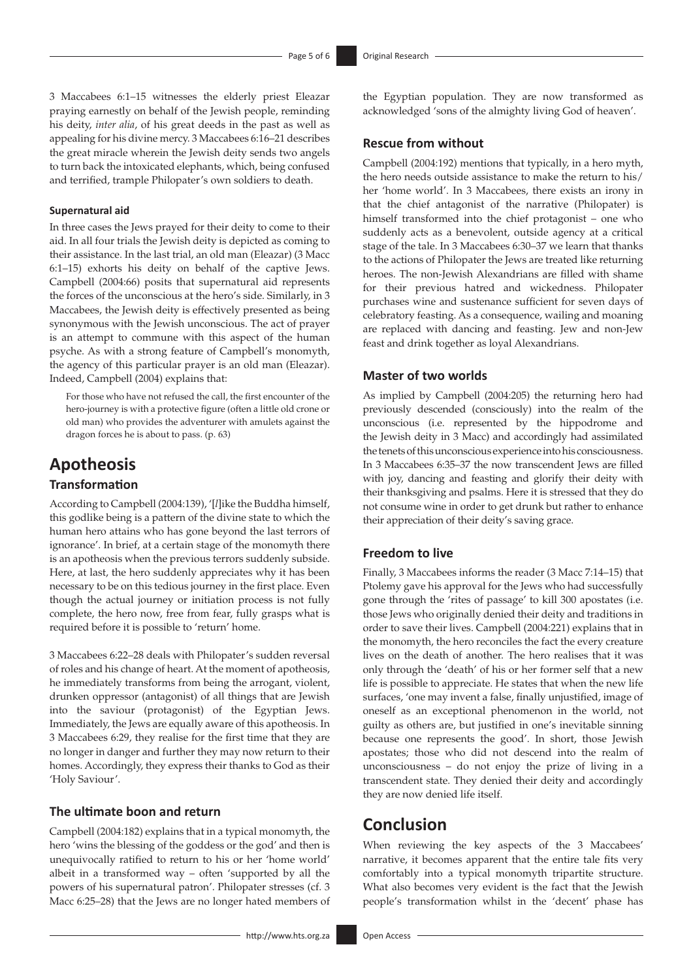3 Maccabees 6:1–15 witnesses the elderly priest Eleazar praying earnestly on behalf of the Jewish people, reminding his deity, *inter alia*, of his great deeds in the past as well as appealing for his divine mercy. 3 Maccabees 6:16–21 describes the great miracle wherein the Jewish deity sends two angels to turn back the intoxicated elephants, which, being confused and terrified, trample Philopater's own soldiers to death.

#### **Supernatural aid**

In three cases the Jews prayed for their deity to come to their aid. In all four trials the Jewish deity is depicted as coming to their assistance. In the last trial, an old man (Eleazar) (3 Macc 6:1–15) exhorts his deity on behalf of the captive Jews. Campbell (2004:66) posits that supernatural aid represents the forces of the unconscious at the hero's side. Similarly, in 3 Maccabees, the Jewish deity is effectively presented as being synonymous with the Jewish unconscious. The act of prayer is an attempt to commune with this aspect of the human psyche. As with a strong feature of Campbell's monomyth, the agency of this particular prayer is an old man (Eleazar). Indeed, Campbell (2004) explains that:

For those who have not refused the call, the first encounter of the hero-journey is with a protective figure (often a little old crone or old man) who provides the adventurer with amulets against the dragon forces he is about to pass. (p. 63)

## **Apotheosis**

#### **Transformation**

According to Campbell (2004:139), '[*l*]ike the Buddha himself, this godlike being is a pattern of the divine state to which the human hero attains who has gone beyond the last terrors of ignorance'. In brief, at a certain stage of the monomyth there is an apotheosis when the previous terrors suddenly subside. Here, at last, the hero suddenly appreciates why it has been necessary to be on this tedious journey in the first place. Even though the actual journey or initiation process is not fully complete, the hero now, free from fear, fully grasps what is required before it is possible to 'return' home.

3 Maccabees 6:22–28 deals with Philopater's sudden reversal of roles and his change of heart. At the moment of apotheosis, he immediately transforms from being the arrogant, violent, drunken oppressor (antagonist) of all things that are Jewish into the saviour (protagonist) of the Egyptian Jews. Immediately, the Jews are equally aware of this apotheosis. In 3 Maccabees 6:29, they realise for the first time that they are no longer in danger and further they may now return to their homes. Accordingly, they express their thanks to God as their 'Holy Saviour'.

#### **The ultimate boon and return**

Campbell (2004:182) explains that in a typical monomyth, the hero 'wins the blessing of the goddess or the god' and then is unequivocally ratified to return to his or her 'home world' albeit in a transformed way – often 'supported by all the powers of his supernatural patron'. Philopater stresses (cf. 3 Macc 6:25–28) that the Jews are no longer hated members of the Egyptian population. They are now transformed as acknowledged 'sons of the almighty living God of heaven'.

#### **Rescue from without**

Campbell (2004:192) mentions that typically, in a hero myth, the hero needs outside assistance to make the return to his/ her 'home world'. In 3 Maccabees, there exists an irony in that the chief antagonist of the narrative (Philopater) is himself transformed into the chief protagonist – one who suddenly acts as a benevolent, outside agency at a critical stage of the tale. In 3 Maccabees 6:30–37 we learn that thanks to the actions of Philopater the Jews are treated like returning heroes. The non-Jewish Alexandrians are filled with shame for their previous hatred and wickedness. Philopater purchases wine and sustenance sufficient for seven days of celebratory feasting. As a consequence, wailing and moaning are replaced with dancing and feasting. Jew and non-Jew feast and drink together as loyal Alexandrians.

#### **Master of two worlds**

As implied by Campbell (2004:205) the returning hero had previously descended (consciously) into the realm of the unconscious (i.e. represented by the hippodrome and the Jewish deity in 3 Macc) and accordingly had assimilated the tenets of this unconscious experience into his consciousness. In 3 Maccabees 6:35–37 the now transcendent Jews are filled with joy, dancing and feasting and glorify their deity with their thanksgiving and psalms. Here it is stressed that they do not consume wine in order to get drunk but rather to enhance their appreciation of their deity's saving grace.

#### **Freedom to live**

Finally, 3 Maccabees informs the reader (3 Macc 7:14–15) that Ptolemy gave his approval for the Jews who had successfully gone through the 'rites of passage' to kill 300 apostates (i.e. those Jews who originally denied their deity and traditions in order to save their lives. Campbell (2004:221) explains that in the monomyth, the hero reconciles the fact the every creature lives on the death of another. The hero realises that it was only through the 'death' of his or her former self that a new life is possible to appreciate. He states that when the new life surfaces, 'one may invent a false, finally unjustified, image of oneself as an exceptional phenomenon in the world, not guilty as others are, but justified in one's inevitable sinning because one represents the good'. In short, those Jewish apostates; those who did not descend into the realm of unconsciousness – do not enjoy the prize of living in a transcendent state. They denied their deity and accordingly they are now denied life itself.

### **Conclusion**

When reviewing the key aspects of the 3 Maccabees' narrative, it becomes apparent that the entire tale fits very comfortably into a typical monomyth tripartite structure. What also becomes very evident is the fact that the Jewish people's transformation whilst in the 'decent' phase has